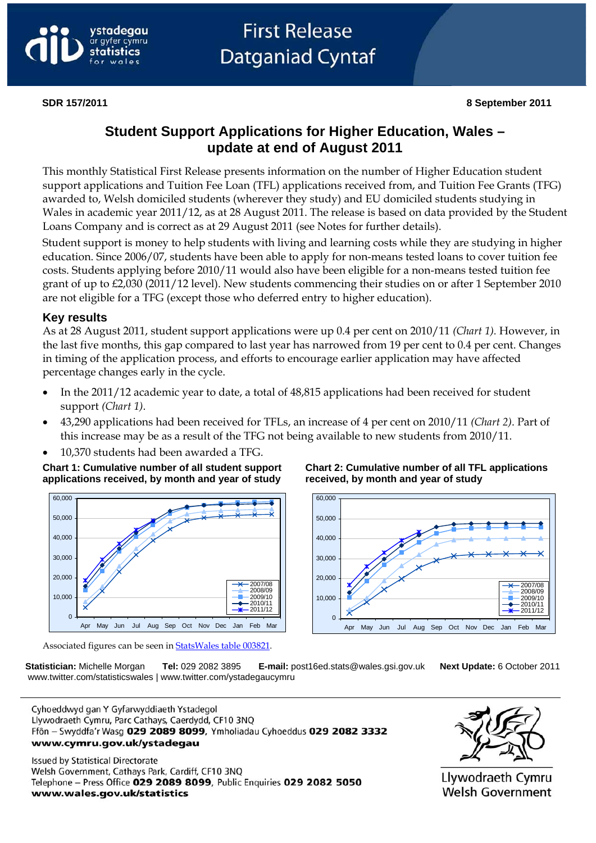

# **First Release Datganiad Cyntaf**

# **Student Support Applications for Higher Education, Wales – update at end of August 2011**

This monthly Statistical First Release presents information on the number of Higher Education student support applications and Tuition Fee Loan (TFL) applications received from, and Tuition Fee Grants (TFG) awarded to, Welsh domiciled students (wherever they study) and EU domiciled students studying in Wales in academic year 2011/12, as at 28 August 2011. The release is based on data provided by the Student Loans Company and is correct as at 29 August 2011 (see Notes for further details).

Student support is money to help students with living and learning costs while they are studying in higher education. Since 2006/07, students have been able to apply for non-means tested loans to cover tuition fee costs. Students applying before 2010/11 would also have been eligible for a non-means tested tuition fee grant of up to £2,030 (2011/12 level). New students commencing their studies on or after 1 September 2010 are not eligible for a TFG (except those who deferred entry to higher education).

#### **Key results**

As at 28 August 2011, student support applications were up 0.4 per cent on 2010/11 *(Chart 1).* However, in the last five months, this gap compared to last year has narrowed from 19 per cent to 0.4 per cent. Changes in timing of the application process, and efforts to encourage earlier application may have affected percentage changes early in the cycle.

- In the 2011/12 academic year to date, a total of 48,815 applications had been received for student support *(Chart 1)*.
- 43,290 applications had been received for TFLs, an increase of 4 per cent on 2010/11 *(Chart 2)*. Part of this increase may be as a result of the TFG not being available to new students from 2010/11.
- 10,370 students had been awarded a TFG.

**Chart 1: Cumulative number of all student support applications received, by month and year of study**



**Chart 2: Cumulative number of all TFL applications received, by month and year of study**



Associated figures can be seen in [StatsWales table 003821.](http://www.statswales.wales.gov.uk/TableViewer/tableView.aspx?ReportId=3821)

 **Statistician:** Michelle Morgan **Tel:** 029 2082 3895 **E-mail:** post16ed.stats@wales.gsi.gov.uk **Next Update:** 6 October 2011 www.twitter.com/statisticswales | www.twitter.com/ystadegaucymru

Cyhoeddwyd gan Y Gyfarwyddiaeth Ystadegol Llywodraeth Cymru, Parc Cathays, Caerdydd, CF10 3NQ Ffôn - Swyddfa'r Wasg 029 2089 8099, Ymholiadau Cyhoeddus 029 2082 3332 www.cymru.gov.uk/ystadegau

**Issued by Statistical Directorate** Welsh Government, Cathays Park, Cardiff, CF10 3NQ Telephone - Press Office 029 2089 8099, Public Enquiries 029 2082 5050 www.wales.gov.uk/statistics



Llywodraeth Cymru **Welsh Government**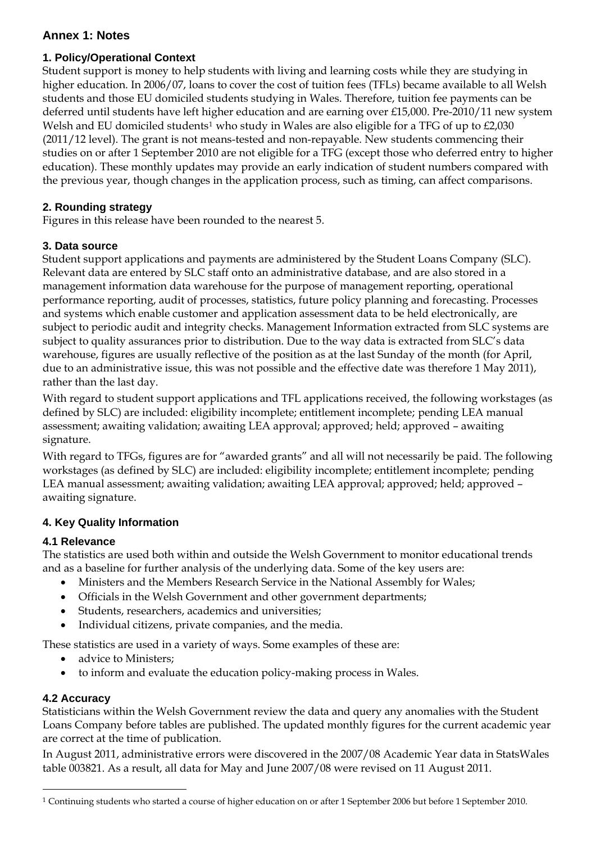# **Annex 1: Notes**

#### **1. Policy/Operational Context**

Student support is money to help students with living and learning costs while they are studying in higher education. In 2006/07, loans to cover the cost of tuition fees (TFLs) became available to all Welsh students and those EU domiciled students studying in Wales. Therefore, tuition fee payments can be deferred until students have left higher education and are earning over £15,000. Pre-2010/11 new system Welsh and EU domiciled students<sup>[1](#page-1-0)</sup> who study in Wales are also eligible for a TFG of up to £2,030 (2011/12 level). The grant is not means-tested and non-repayable. New students commencing their studies on or after 1 September 2010 are not eligible for a TFG (except those who deferred entry to higher education). These monthly updates may provide an early indication of student numbers compared with the previous year, though changes in the application process, such as timing, can affect comparisons.

## **2. Rounding strategy**

Figures in this release have been rounded to the nearest 5.

## **3. Data source**

Student support applications and payments are administered by the Student Loans Company (SLC). Relevant data are entered by SLC staff onto an administrative database, and are also stored in a management information data warehouse for the purpose of management reporting, operational performance reporting, audit of processes, statistics, future policy planning and forecasting. Processes and systems which enable customer and application assessment data to be held electronically, are subject to periodic audit and integrity checks. Management Information extracted from SLC systems are subject to quality assurances prior to distribution. Due to the way data is extracted from SLC's data warehouse, figures are usually reflective of the position as at the last Sunday of the month (for April, due to an administrative issue, this was not possible and the effective date was therefore 1 May 2011), rather than the last day.

With regard to student support applications and TFL applications received, the following workstages (as defined by SLC) are included: eligibility incomplete; entitlement incomplete; pending LEA manual assessment; awaiting validation; awaiting LEA approval; approved; held; approved – awaiting signature.

With regard to TFGs, figures are for "awarded grants" and all will not necessarily be paid. The following workstages (as defined by SLC) are included: eligibility incomplete; entitlement incomplete; pending LEA manual assessment; awaiting validation; awaiting LEA approval; approved; held; approved – awaiting signature.

# **4. Key Quality Information**

# **4.1 Relevance**

The statistics are used both within and outside the Welsh Government to monitor educational trends and as a baseline for further analysis of the underlying data. Some of the key users are:

- Ministers and the Members Research Service in the National Assembly for Wales;
- Officials in the Welsh Government and other government departments;
- Students, researchers, academics and universities;
- Individual citizens, private companies, and the media.

These statistics are used in a variety of ways. Some examples of these are:

- advice to Ministers;
- to inform and evaluate the education policy-making process in Wales.

#### **4.2 Accuracy**

 $\overline{a}$ 

Statisticians within the Welsh Government review the data and query any anomalies with the Student Loans Company before tables are published. The updated monthly figures for the current academic year are correct at the time of publication.

In August 2011, administrative errors were discovered in the 2007/08 Academic Year data in StatsWales table 003821. As a result, all data for May and June 2007/08 were revised on 11 August 2011.

<span id="page-1-0"></span><sup>1</sup> Continuing students who started a course of higher education on or after 1 September 2006 but before 1 September 2010.